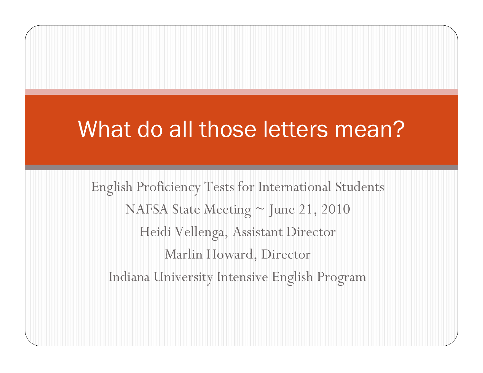#### What do all those letters mean?

English Proficiency Tests for International Students NAFSA State Meeting  $\sim$  June 21, 2010 Heidi Vellenga, Assistant Director Marlin Howard, Director Indiana University Intensive English Program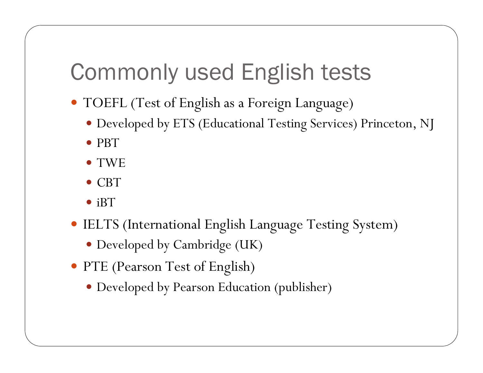## Commonly used English tests

- y TOEFL (Test of English as a Foreign Language)
	- y Developed by ETS (Educational Testing Services) Princeton, NJ
	- $\bullet$  PBT
	- $\bullet$  TWE
	- $\bullet$  CBT
	- $\bullet$  iBT
- IELTS (International English Language Testing System)
	- Developed by Cambridge (UK)
- y PTE (Pearson Test of English)
	- $\bullet$  Developed by Pearson Education (publisher)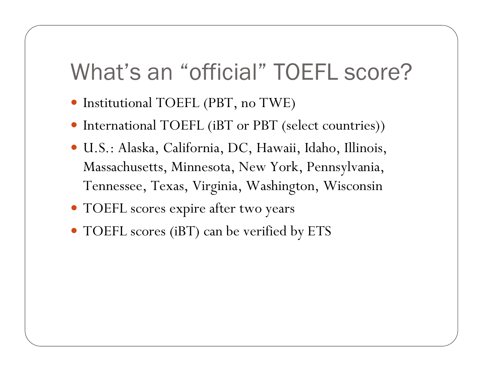#### What's an "official" TOEFL score?

- Institutional TOEFL (PBT, no TWE)
- International TOEFL (iBT or PBT (select countries))
- y U.S.: Alaska, California, DC, Hawaii, Idaho, Illinois, Massachusetts, Minnesota, New York, Pennsylvania, Tennessee, Texas, Virginia, Washington, Wisconsin
- · TOEFL scores expire after two years
- TOEFL scores (iBT) can be verified by ETS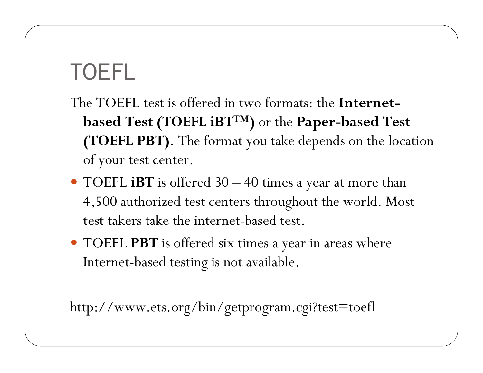# TOEFL

- The TOEFL test is offered in two formats: the **Internetbased Test (TOEFL iBT™)** or the **Paper-based Test (TOEFL PBT)**. The format you take depends on the location of your test center.
- TOEFL **iBT** is offered 30 40 times a year at more than 4,500 authorized test centers throughout the world. Most test takers take the internet-based test.
- TOEFL PBT is offered six times a year in areas where Internet-based testing is not available.

http://www.ets.org/bin/getprogram.cgi?test=toefl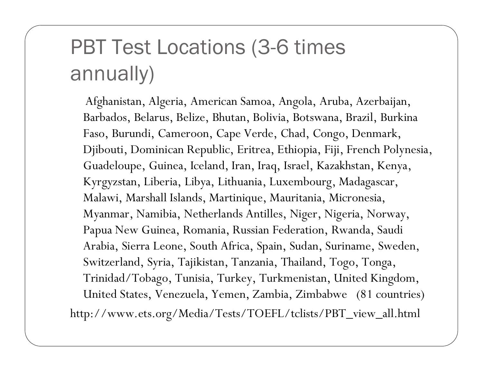## PBT Test Locations (3-6 times annually)

Afghanistan, Algeria, American Samoa, Angola, Aruba, Azerbaijan, Barbados, Belarus, Belize, Bhutan, Bolivia, Botswana, Brazil, Burkina Faso, Burundi, Cameroon, Cape Verde, Chad, Congo, Denmark, Djibouti, Dominican Republic, Eritrea, Ethiopia, Fiji, French Polynesia, Guadeloupe, Guinea, Iceland, Iran, Iraq, Israel, Kazakhstan, Kenya, Kyrgyzstan, Liberia, Libya, Lithuania, Luxembourg, Madagascar, Malawi, Marshall Islands, Martinique, Mauritania, Micronesia, Myanmar, Namibia, Netherlands Antilles, Niger, Nigeria, Norway, Papua New Guinea, Romania, Russian Federation, Rwanda, Saudi Arabia, Sierra Leone, South Africa, Spain, Sudan, Suriname, Sweden, Switzerland, Syria, Tajikistan, Tanzania, Thailand, Togo, Tonga, Trinidad/Tobago, Tunisia, Turkey, Turkmenistan, United Kingdom, United States, Venezuela, Yemen, Zambia, Zimbabwe (81 countries) http://www.ets.org/Media/Tests/TOEFL/tclists/PBT\_view\_all.html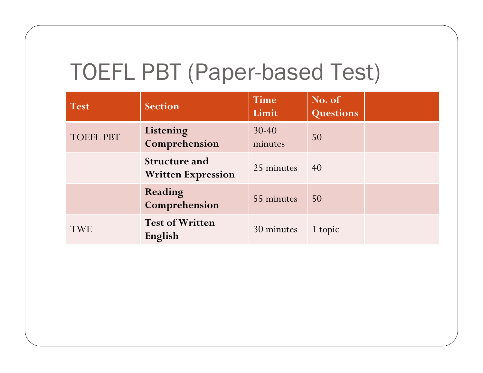## TOEFL PBT (Paper-based Test)

| <b>Test</b> | <b>Section</b>                                    | <b>Time</b><br>Limit | No. of<br><b>Questions</b> |  |
|-------------|---------------------------------------------------|----------------------|----------------------------|--|
| TOEFL PBT   | Listening<br>Comprehension                        | $30 - 40$<br>minutes | 50                         |  |
|             | <b>Structure and</b><br><b>Written Expression</b> | 25 minutes           | 40                         |  |
|             | Reading<br>Comprehension                          | 55 minutes           | 50                         |  |
| <b>TWE</b>  | <b>Test of Written</b><br>English                 | 30 minutes           | 1 topic                    |  |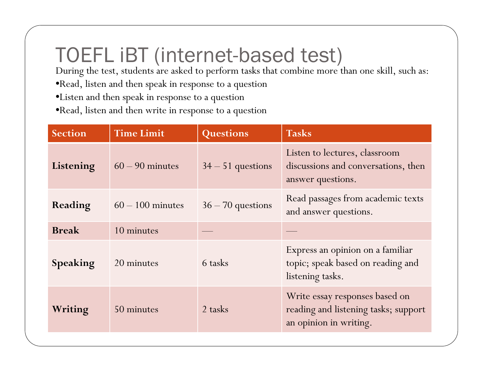#### TOEFL iBT (internet-based test)

During the test, students are asked to perform tasks that combine more than one skill, such as:

- •Read, listen and then speak in response to a question
- •Listen and then speak in response to a question

•Read, listen and then write in response to a question

| <b>Section</b> | <b>Time Limit</b> | <b>Questions</b>    | <b>Tasks</b>                                                                                     |
|----------------|-------------------|---------------------|--------------------------------------------------------------------------------------------------|
| Listening      | $60 - 90$ minutes | $34 - 51$ questions | Listen to lectures, classroom<br>discussions and conversations, then<br>answer questions.        |
| Reading        | $60-100$ minutes  | $36 - 70$ questions | Read passages from academic texts<br>and answer questions.                                       |
| <b>Break</b>   | 10 minutes        |                     |                                                                                                  |
| Speaking       | 20 minutes        | 6 tasks             | Express an opinion on a familiar<br>topic; speak based on reading and<br>listening tasks.        |
| Writing        | 50 minutes        | 2 tasks             | Write essay responses based on<br>reading and listening tasks; support<br>an opinion in writing. |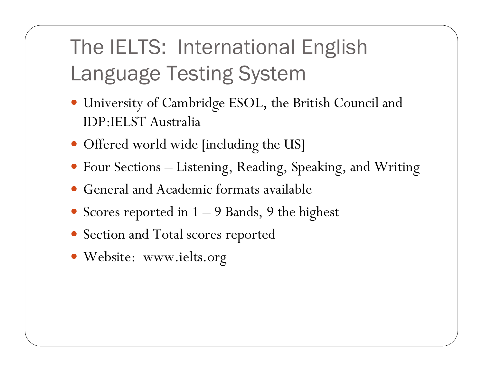# The IELTS: International English Language Testing System

- University of Cambridge ESOL, the British Council and IDP:IELST Australia
- Offered world wide [including the US]
- y Four Sections Listening, Reading, Speaking, and Writing
- General and Academic formats available
- Scores reported in 1 9 Bands, 9 the highest
- Section and Total scores reported
- Website: www.ielts.org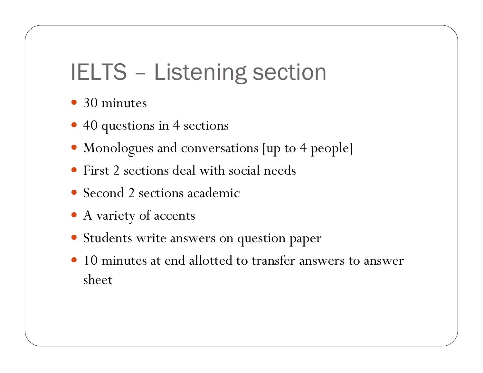## IELTS – Listening section

- $\bullet$  30 minutes
- 40 questions in 4 sections
- Monologues and conversations [up to 4 people]
- First 2 sections deal with social needs
- Second 2 sections academic
- A variety of accents
- Students write answers on question paper
- 10 minutes at end allotted to transfer answers to answer sheet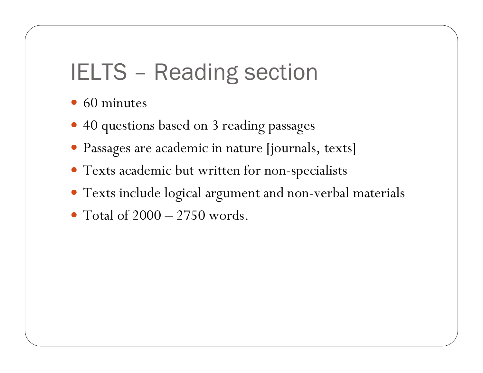## IELTS – Reading section

- $\bullet$  60 minutes
- 40 questions based on 3 reading passages
- · Passages are academic in nature [journals, texts]
- Texts academic but written for non-specialists
- Texts include logical argument and non-verbal materials
- Total of  $2000 2750$  words.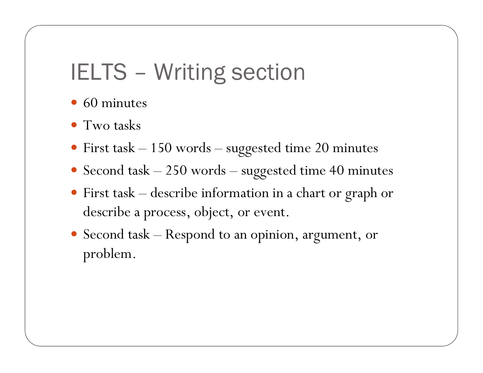## IELTS – Writing section

- $\bullet$  60 minutes
- $\bullet$  Two tasks
- y First task 150 words suggested time 20 minutes
- Second task 250 words suggested time 40 minutes
- $\bullet$  First task – describe information in a chart or graph or describe a process, object, or event.
- Second task Respond to an opinion, argument, or problem.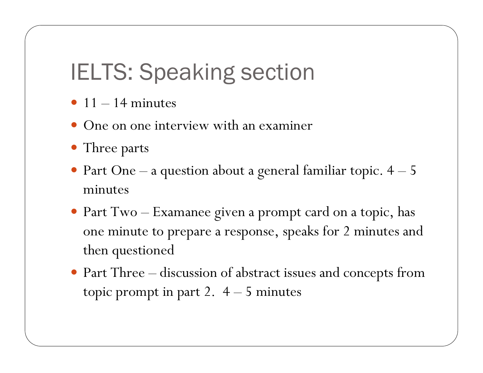## IELTS: Speaking section

- $11 14$  minutes
- One on one interview with an examiner
- Three parts
- Part One a question about a general familiar topic.  $4-5$ minutes
- Part Two Examanee given a prompt card on a topic, has one minute to prepare a response, speaks for 2 minutes and then questioned
- Part Three discussion of abstract issues and concepts from topic prompt in part 2.  $4 - 5$  minutes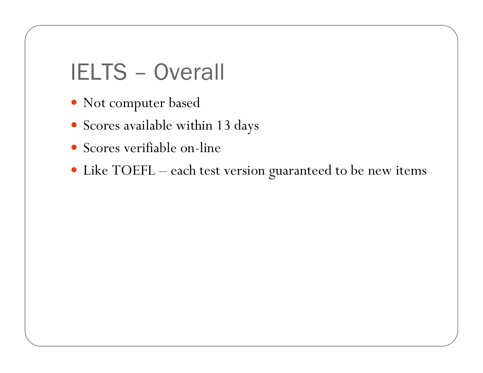## IELTS – Overall

- Not computer based
- Scores available within 13 days
- Scores verifiable on-line
- Like TOEFL each test version guaranteed to be new items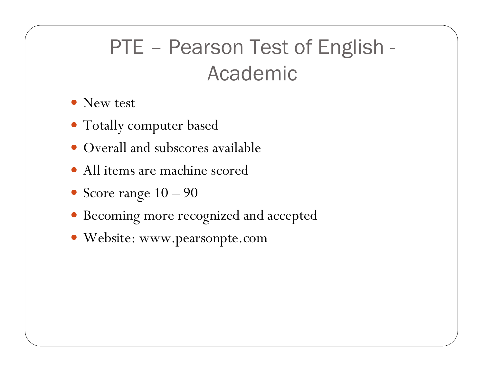## PTE – Pearson Test of English - Academic

- New test
- Totally computer based
- Overall and subscores available
- All items are machine scored
- Score range  $10 90$
- Becoming more recognized and accepted
- y Website: www.pearsonpte.com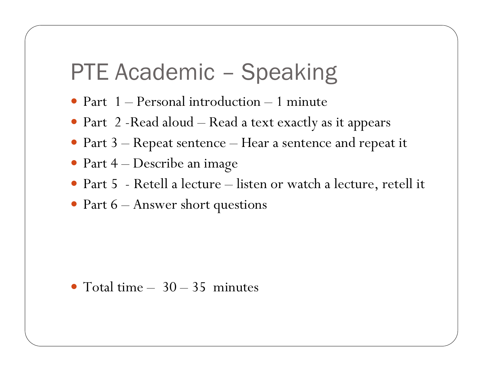#### PTE Academic – Speaking

- Part  $1 -$  Personal introduction  $-1$  minute
- y Part 2 -Read aloud Read a text exactly as it appears
- y Part 3 Repeat sentence Hear a sentence and repeat it
- Part 4 Describe an image
- Part 5 Retell a lecture listen or watch a lecture, retell it
- Part  $6$  Answer short questions

#### • Total time –  $30 - 35$  minutes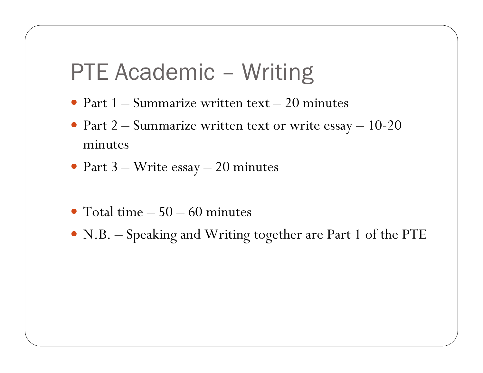#### PTE Academic – Writing

- Part 1 Summarize written text 20 minutes
- Part  $2$  Summarize written text or write essay 10-20 minutes
- Part  $3$  Write essay 20 minutes
- Total time  $-50 60$  minutes
- N.B. Speaking and Writing together are Part 1 of the PTE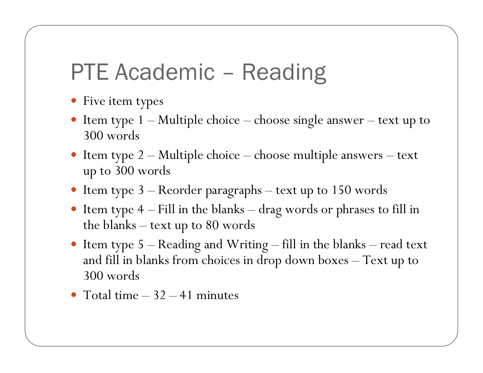#### PTE Academic – Reading

- Five item types
- $\bullet$  Item type 1 – Multiple choice – choose single answer – text up to 300 words
- Item type 2 Multiple choice choose multiple answers text up to 300 words
- Item type 3 Reorder paragraphs text up to 150 words
- Item type  $4$  Fill in the blanks drag words or phrases to fill in the blanks – text up to 80 words
- Item type  $5$  Reading and Writing fill in the blanks read text and fill in blanks from choices in drop down boxes – Text up to 300 words
- Total time  $-32 41$  minutes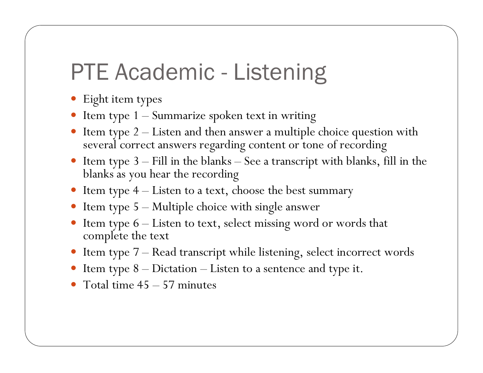#### PTE Academic - Listening

- Eight item types
- $\bullet$ Item type 1 – Summarize spoken text in writing
- $\bullet$  Item type 2 – Listen and then answer a multiple choice question with several correct answers regarding content or tone of recording
- Item type  $3$  Fill in the blanks See a transcript with blanks, fill in the blanks as you hear the recording
- $\bullet$ Item type 4 – Listen to a text, choose the best summary
- $\bullet$ Item type 5 – Multiple choice with single answer
- $\bullet$  Item type 6 – Listen to text, select missing word or words that complete the text
- $\bullet$ Item type 7 – Read transcript while listening, select incorrect words
- $\bullet$ Item type 8 – Dictation – Listen to a sentence and type it.
- $\bullet$ Total time 45 – 57 minutes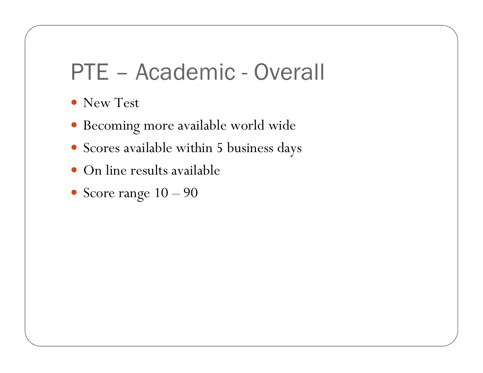#### PTE – Academic - Overall

- New Test
- Becoming more available world wide
- Scores available within 5 business days
- On line results available
- Score range  $10 90$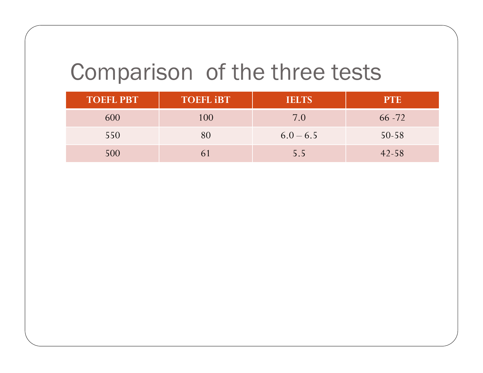#### Comparison of the three tests

| <b>TOEFL PBT</b> | <b>TOEFL IBT</b> | <b>IELTS</b> | <b>PTE</b> |
|------------------|------------------|--------------|------------|
| 600              | 100              | 7.0          | $66 - 72$  |
| 550              |                  | $6.0 - 6.5$  | $50 - 58$  |
| 500              |                  | 5.5          | $42 - 58$  |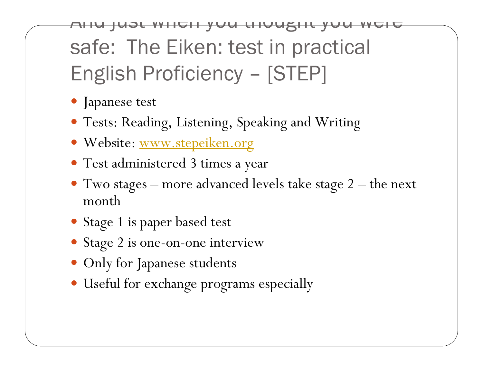#### And just when you thought you were safe: The Eiken: test in practical English Proficiency – [STEP]

- Japanese test
- Tests: Reading, Listening, Speaking and Writing
- Website: [www.stepeiken.org](http://www.stepeiken.org/)
- y Test administered 3 times a year
- $\bullet$  Two stages more advanced levels take stage 2 the next month
- Stage 1 is paper based test
- Stage 2 is one-on-one interview
- Only for Japanese students
- Useful for exchange programs especially